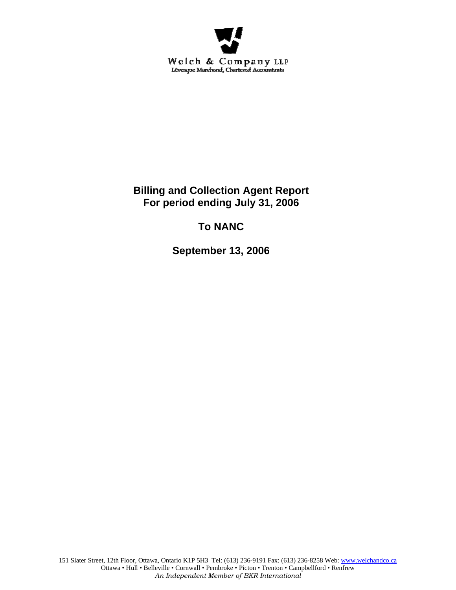

**Billing and Collection Agent Report For period ending July 31, 2006** 

# **To NANC**

**September 13, 2006**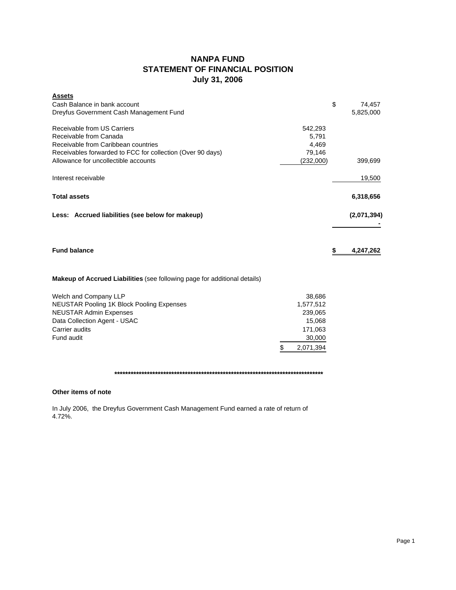# **NANPA FUND STATEMENT OF FINANCIAL POSITION July 31, 2006**

| <b>Assets</b><br>Cash Balance in bank account<br>Dreyfus Government Cash Management Fund                                                                                                           |                                                                                  | \$<br>74,457<br>5,825,000 |
|----------------------------------------------------------------------------------------------------------------------------------------------------------------------------------------------------|----------------------------------------------------------------------------------|---------------------------|
| Receivable from US Carriers<br>Receivable from Canada<br>Receivable from Caribbean countries<br>Receivables forwarded to FCC for collection (Over 90 days)<br>Allowance for uncollectible accounts | 542,293<br>5,791<br>4,469<br>79,146<br>(232,000)                                 | 399,699                   |
| Interest receivable                                                                                                                                                                                |                                                                                  | 19,500                    |
| <b>Total assets</b>                                                                                                                                                                                |                                                                                  | 6,318,656                 |
| Less: Accrued liabilities (see below for makeup)                                                                                                                                                   |                                                                                  | (2,071,394)               |
| <b>Fund balance</b>                                                                                                                                                                                |                                                                                  | \$<br>4,247,262           |
| <b>Makeup of Accrued Liabilities</b> (see following page for additional details)                                                                                                                   |                                                                                  |                           |
| Welch and Company LLP<br><b>NEUSTAR Pooling 1K Block Pooling Expenses</b><br><b>NEUSTAR Admin Expenses</b><br>Data Collection Agent - USAC<br>Carrier audits<br>Fund audit                         | 38,686<br>1,577,512<br>239,065<br>15,068<br>171,063<br>30,000<br>\$<br>2,071,394 |                           |

### **\*\*\*\*\*\*\*\*\*\*\*\*\*\*\*\*\*\*\*\*\*\*\*\*\*\*\*\*\*\*\*\*\*\*\*\*\*\*\*\*\*\*\*\*\*\*\*\*\*\*\*\*\*\*\*\*\*\*\*\*\*\*\*\*\*\*\*\*\*\*\*\*\*\*\*\*\***

# **Other items of note**

In July 2006, the Dreyfus Government Cash Management Fund earned a rate of return of 4.72%.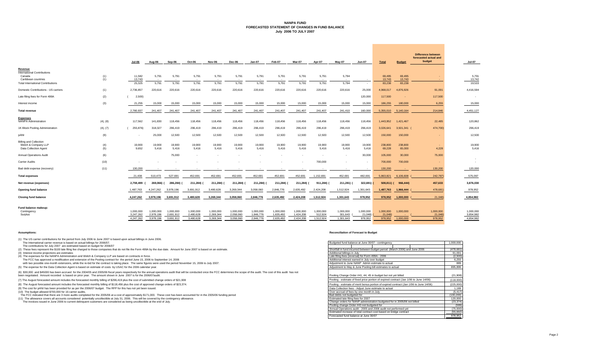### **NANPA FUND FORECASTED STATEMENT OF CHANGES IN FUND BALANCE July 2006 TO JULY 2007**

|                                                                 |          |                  |                 |                 |           |                 |           |               |           |                 |            |            |                  |                  |                  | <b>Difference between</b>       |                  |
|-----------------------------------------------------------------|----------|------------------|-----------------|-----------------|-----------|-----------------|-----------|---------------|-----------|-----------------|------------|------------|------------------|------------------|------------------|---------------------------------|------------------|
|                                                                 |          | <b>Jul-06</b>    | Aug-06          | Sep-06          | Oct-06    | Nov-06          | Dec-06    | <b>Jan-07</b> | Feb-07    | Mar-07          | Apr-07     | May-07     | <b>Jun-07</b>    | Total            | <b>Budget</b>    | forecasted actual and<br>budget | Jul-07           |
|                                                                 |          |                  |                 |                 |           |                 |           |               |           |                 |            |            |                  |                  |                  |                                 |                  |
| Revenue<br><b>International Contributions</b>                   |          |                  |                 |                 |           |                 |           |               |           |                 |            |            |                  |                  |                  |                                 |                  |
| Canada                                                          | (1)      | 11,582           | 5,791           | 5,791           | 5,791     | 5,791           | 5,791     | 5,791         | 5,791     | 5,791           | 5,791      | 5,794      |                  | 69,495           | 69,495           |                                 | 5,791            |
| Caribbean countries<br><b>Total International Contributions</b> | (1)      | 13,743<br>25,325 | $\sim$<br>5,791 | $\sim$<br>5,791 | 5,791     | $\sim$<br>5,791 | 5,791     | 5,791         | 5,791     | $\sim$<br>5,791 | 5,791      | 5,794      | $\sim$<br>$\sim$ | 13,743<br>83,238 | 13,743<br>83,238 |                                 | 13,742<br>19,533 |
|                                                                 |          |                  |                 |                 |           |                 |           |               |           |                 |            |            |                  |                  |                  |                                 |                  |
| Domestic Contributions - US carriers                            | (1)      | 2,736,857        | 220,616         | 220,616         | 220,616   | 220,616         | 220,616   | 220,616       | 220,616   | 220,616         | 220,616    | 220,616    | 25,000           | 4,968,017        | 4,876,926        | 91,091                          | 4,416,594        |
| Late filing fees for Form 499A                                  | (2)      | 2,500)           |                 |                 |           |                 |           |               |           |                 |            |            | 120,000          | 117,500          | ÷                | 117,500                         | $\sim$           |
| Interest income                                                 | (3)      | 21,255           | 15,000          | 15,000          | 15,000    | 15,000          | 15,000    | 15,000        | 15,000    | 15,000          | 15,000     | 15,000     | 15,000           | 186,255          | 180,000          | 6,255                           | 15,000           |
| <b>Total revenue</b>                                            |          | 2,780,937        | 241,407         | 241,407         | 241,407   | 241,407         | 241,407   | 241,407       | 241,407   | 241,407         | 241,407    | 241,410    | 160,000          | 5,355,010        | 5,140,164        | 214,846                         | 4,451,127        |
| <b>Expenses</b>                                                 |          |                  |                 |                 |           |                 |           |               |           |                 |            |            |                  |                  |                  |                                 |                  |
| <b>NANPA Administration</b>                                     | (4), (8) | 117,562          | 141,830         | 118,456         | 118,456   | 118,456         | 118,456   | 118,456       | 118,456   | 118,456         | 118,456    | 118,456    | 118,456          | 1,443,952        | 1,421,467        | 22,485                          | 120,862          |
| 1K Block Pooling Administration                                 | (4), (7) | 255,876)         | 318,327         | 296,419         | 296,419   | 296,419         | 296,419   | 296,419       | 296,419   | 296,419         | 296,419    | 296,419    | 296,419          | 3,026,641        | 3,501,341 (      | 474,700)                        | 296,419          |
| pANI                                                            | (9)      |                  | 25,000          | 12,500          | 12,500    | 12,500          | 12,500    | 12,500        | 12,500    | 12,500          | 12,500     | 12,500     | 12,500           | 150,000          | 150,000          |                                 | 12,500           |
| <b>Billing and Collection</b>                                   |          |                  |                 |                 |           |                 |           |               |           |                 |            |            |                  |                  |                  |                                 |                  |
| Welch & Company LLP                                             | (4)      | 19,900           | 19,900          | 19,900          | 19,900    | 19,900          | 19,900    | 19,900        | 19,900    | 19,900          | 19,900     | 19,900     | 19,900           | 238,800          | 238,800          | <b>Section</b>                  | 19,900           |
| Data Collection Agent                                           | (5)      | 9,652            | 5,416           | 5,416           | 5,416     | 5,416           | 5,416     | 5,416         | 5,416     | 5,416           | 5,416      | 5,416      | 5,416            | 69,228           | 65,000           | 4,228                           | 5,416            |
| <b>Annual Operations Audit</b>                                  | (6)      |                  |                 | 75,000          |           | $\sim$          |           |               |           |                 |            | $\sim$     | 30,000           | 105,000          | 30,000           | 75,000                          | $\sim$           |
| Carrier Audits                                                  | (10)     |                  |                 |                 |           |                 |           |               |           |                 | 700.000    |            | $\sim$           | 700,000          | 700,000          |                                 |                  |
| Bad debt expense (recovery)                                     | (11)     | 130,200          |                 |                 |           |                 |           |               |           |                 |            |            | $\sim$           | 130,200          |                  | 130,200                         | 120,000          |
| <b>Total expenses</b>                                           |          | 21,438           | 510,473         | 527,691         | 452,691   | 452,691         | 452,691   | 452,691       | 452,691   | 452,691         | 1,152,691  | 452,691    | 482,691          | 5,863,821        | 6,106,608        | 242,787)                        | 575,097          |
| Net revenue (expenses)                                          |          | 2,759,499        | 269,066)        | 286,284)        | 211,284)  | 211,284)        | 211,284)  | 211,284)      | 211,284)  | 211,284)        | 911,284) ( | 211,281) ( | 322,691)         | $508,811)$ (     | 966,444)         | 457,633                         | 3,876,030        |
| Opening fund balance                                            |          | 1,487,763        | 4,247,262       | 3,978,196       | 3,691,912 | 3,480,628       | 3,269,344 | 3,058,060     | 2,846,776 | 2,635,492       | 2,424,208  | 1,512,924  | 1,301,643        | 1,487,763        | 1,966,444        | 478,681)                        | 978,952          |
| <b>Closing fund balance</b>                                     |          | 4,247,262        | 3,978,196       | 3,691,912       | 3,480,628 | 3,269,344       | 3,058,060 | 2,846,776     | 2,635,492 | 2,424,208       | 1,512,924  | 1,301,643  | 978,952          | 978,952          | 1,000,000        | 21,048)                         | 4,854,982        |
|                                                                 |          |                  |                 |                 |           |                 |           |               |           |                 |            |            |                  |                  |                  |                                 |                  |
| Fund balance makeup:                                            |          |                  |                 |                 |           |                 |           |               |           |                 |            |            |                  |                  |                  |                                 |                  |
| Contingency                                                     |          | 1,000,000        | 1,000,000       | 1,000,000       | 1,000,000 | 1,000,000       | 1,000,000 | 1,000,000     | 1,000,000 | 1,000,000       | 1,000,000  | 1,000,000  | 1,000,000        | 1,000,000        | 1,000,000        | 1,000,000                       | 1,000,000        |
| Surplus                                                         |          | 3,247,262        | 2,978,196       | 2,691,912       | 2,480,628 | 2,269,344       | 2,058,060 | 1.846.776     | 1,635,492 | 1,424,208       | 512,924    | 301.643    | 21,048)          | 21,048)          |                  | 21,048)                         | 3,854,982        |
|                                                                 |          | 4.247.262        | 3.978.196       | 3.691.912       | 3.480.628 | 3.269.344       | 3.058.060 | 2.846.776     | 2.635.492 | 2.424.208       | 1,512,924  | 1.301.643  | 978,952          | 978.952          | 1.000.000        | 978.952                         | 4,854,982        |

(1) The US carrier contributions for the period from July 2006 to June 2007 is based upon actual billings in June 2006.

#### **Assumptions: Reconciliation of Forecast to Budget**

| The International carrier revenue is based on actual billings for 2006/07.                                                                                                                                                                                                                                                                          | Budgeted fund balance at June 30/07 - contingency                                      | 1.000.000  |
|-----------------------------------------------------------------------------------------------------------------------------------------------------------------------------------------------------------------------------------------------------------------------------------------------------------------------------------------------------|----------------------------------------------------------------------------------------|------------|
| The contributions for July 2007 are estimated based on budget for 2006/07                                                                                                                                                                                                                                                                           |                                                                                        |            |
| (2) These fees represent the \$100 late filing fee charged to those companies that do not file the Form 499A by the due date. Amount for June 2007 is based on an estimate.                                                                                                                                                                         | Shortfall in fund incurred between budget period (March 2006) and June 2006            | (478, 681) |
| (3) Interest income projections are estimates                                                                                                                                                                                                                                                                                                       | Additional billings in July                                                            | 91.091     |
| (4) The expenses for the NANPA Administration and Welch & Company LLP are based on contracts in force.                                                                                                                                                                                                                                              | Late filing fees (reversal) for Form 499A - 2006                                       | (2,500)    |
| The FCC has approved a modification and extension of the Pooling contract for the period June 15, 2006 to September 14, 2006                                                                                                                                                                                                                        | Additional interest earned in July over budget                                         | 6.255      |
| with two possible one-month extensions, while the re-bid for the contract is taking place. The same figures were used the period November 15, 2006 to July 2007.                                                                                                                                                                                    | Adjustment to June NANP Admin estimate to actual                                       | 889        |
| (5) The expense for the Data Collection Agent is based on estimate of costs by USAC for the 2006 calendar year.                                                                                                                                                                                                                                     | Adjustment to May & June Pooling bill estimates to actual                              | 895,899    |
| (6) \$30,000 and \$45000 has been accrued for the 2004/05 and 2005/06 fiscal years respectively for the annual operations audit that will be conducted once the FCC determines the scope of the audit. The cost of this audit ha<br>been negotiated. Amount recorded is based on prior year. The amount shown in June 2007 is for the 2006/07audit. | Pooling Change Order #41, 44, 45 in budget but not yet billed                          | (21, 908)  |
| (7) The August forecasted amount includes the forecasted monthly billing of \$296,419 plus the cost of submitted change orders of \$21,908                                                                                                                                                                                                          | Pooling - estimate of fixed price portion of expired contract (Jan 1/06 to June 14/06) | (118,000)  |
| (8) The August forecasted amount includes the forecasted monthly billing of \$118,456 plus the cost of approved change orders of \$23,374.                                                                                                                                                                                                          | Pooling - estimate of merit bonus portion of expired contract (Jan 1/06 to June 14/06) | (225,000)  |
| (9) The cost for pANI has been provided for as per the 2006/07 budget. The RFP for this has not yet been issued.                                                                                                                                                                                                                                    | Data Collection fees - Adjust June estimate to actual                                  | 1,189      |
| (10) The budget allowed \$700,000 for 16 carrier audits.                                                                                                                                                                                                                                                                                            | Over accrual of fees by one month in July                                              | (5, 417)   |
| The FCC indicated that there are 3 more audits completed for the 2005/06 at a cost of approximately \$171,000. These cost has been accounted for in the 2005/06 funding period                                                                                                                                                                      | Bad debts not budgeted for                                                             | (130, 200) |
| (11) The allowance covers all accounts considered potentially uncollectible at July 31, 2006. This will be covered by the contingency allowance.                                                                                                                                                                                                    | Estimated late filing fees for 2007                                                    | 120,000    |
| The invoices issued in June 2006 to current delinquent customers are considered as being uncollectible at the end of July.                                                                                                                                                                                                                          | Change orders for NANP administration budgeted for in 2005/06 not billed               | (23, 374)  |
|                                                                                                                                                                                                                                                                                                                                                     | Pooling change Order #43 not budgeted for                                              | (599)      |
|                                                                                                                                                                                                                                                                                                                                                     | Annual Operations audit - 2005 and 2006 audit not performed yet                        | (75,000)   |
|                                                                                                                                                                                                                                                                                                                                                     | Estimated increase of total contract cost based on bridge contract                     | (55, 692)  |
|                                                                                                                                                                                                                                                                                                                                                     | Forecasted fund balance at June 30/07                                                  | 978.952    |